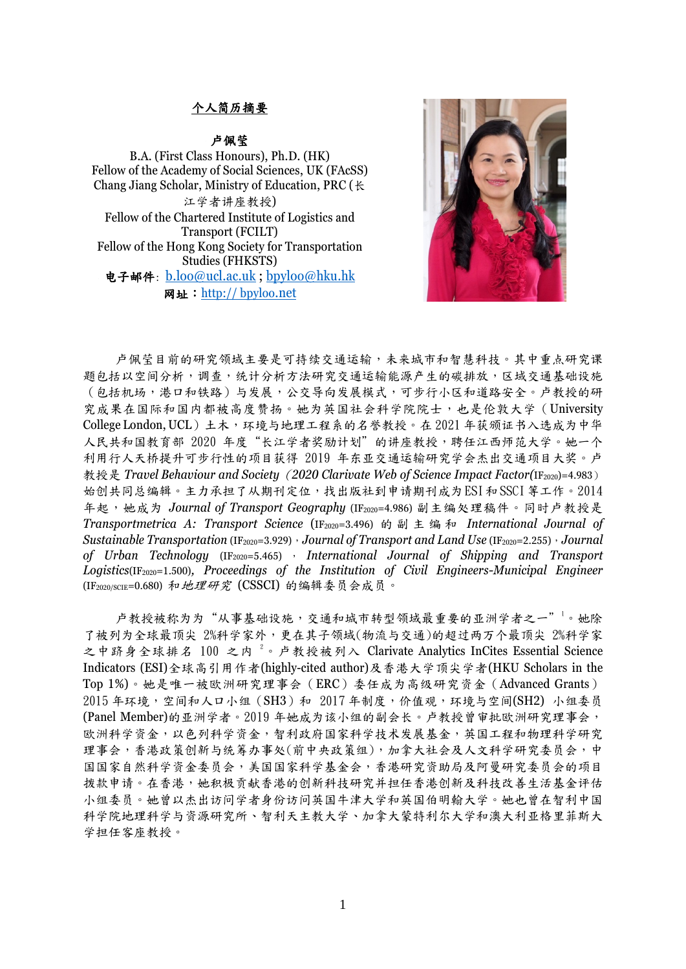## 个人简历摘要

## 卢佩莹

B.A. (First Class Honours), Ph.D. (HK) Fellow of the Academy of Social Sciences, UK (FAcSS) Chang Jiang Scholar, Ministry of Education, PRC (长 江学者讲座教授) Fellow of the Chartered Institute of Logistics and Transport (FCILT) Fellow of the Hong Kong Society for Transportation Studies (FHKSTS) 电子邮件: [b.loo@ucl.ac.uk](mailto:b.loo@ucl.ac.uk) ; [bpyloo@hku.hk](mailto:bpyloo@hku.hk) 网址:http:// bpyloo.net



卢佩莹目前的研究领域主要是可持续交通运输,未来城市和智慧科技。其中重点研究课 题包括以空间分析,调查,统计分析方法研究交通运输能源产生的碳排放,区域交通基础设施 (包括机场,港口和铁路)与发展,公交导向发展模式,可步行小区和道路安全。卢教授的研 究成果在国际和国内都被高度赞扬。她为英国社会科学院院士,也是伦敦大学(University College London, UCL)土木,环境与地理工程系的名誉教授。在 2021 年获颁证书入选成为中华 人民共和国教育部 2020 年度"长江学者奖励计划"的讲座教授,聘任江西师范大学。她一个 利用行人天桥提升可步行性的项目获得 2019 年东亚交通运输研究学会杰出交通项目大奖。卢 教授是 *Travel Behaviour and Society*(*2020 Clarivate Web of Science Impact Factor(*IF2020)=4.983) 始创共同总编辑。主力承担了从期刊定位,找出版社到申请期刊成为ESI和SSCI 等工作。2014 年起,她成为 *Journal of Transport Geography* (IF2020=4.986) 副主编处理稿件。同时卢教授是 *Transportmetrica A: Transport Science* (IF2020=3.496) 的副主 编 和 *International Journal of Sustainable Transportation* (IF2020=3.929),*Journal of Transport and Land Use* (IF2020=2.255),*Journal of Urban Technology* (IF2020=5.465) , *International Journal of Shipping and Transport Logistics*(IF2020=1.500)*, Proceedings of the Institution of Civil Engineers-Municipal Engineer*  (IF2020/SCIE=0.680) 和地理研究 (CSSCI) 的编辑委员会成员。

卢教授被称为为"从事基础设施,交通和城市转型领域最重要的亚洲学者之一"<sup>1</sup>。她除 了被列为全球最顶尖 2%科学家外,更在其子领域(物流与交通)的超过两万个最顶尖 2%科学家 之中跻身全球排名 100 之内<sup>2</sup>。卢教授被列入 Clarivate Analytics InCites Essential Science Indicators (ESI)全球高引用作者(highly-cited author)及香港大学顶尖学者(HKU Scholars in the Top 1%)。她是唯一被欧洲研究理事会(ERC)委任成为高级研究资金(Advanced Grants)  $2015$  年环境, 空间和人口小组 (SH3) 和  $2017$  年制度, 价值观, 环境与空间(SH2) 小组委员 (Panel Member)的亚洲学者。2019 年她成为该小组的副会长。卢教授曾审批欧洲研究理事会, 欧洲科学资金,以色列科学资金,智利政府国家科学技术发展基金,英国工程和物理科学研究 理事会,香港政策创新与统筹办事处(前中央政策组),加拿大社会及人文科学研究委员会,中 国国家自然科学资金委员会,美国国家科学基金会,香港研究资助局及阿曼研究委员会的项目 拨款申请。在香港,她积极贡献香港的创新科技研究并担任香港创新及科技改善生活基金评估 小组委员。她曾以杰出访问学者身份访问英国牛津大学和英国伯明翰大学。她也曾在智利中国 科学院地理科学与资源研究所、智利天主教大学、加拿大蒙特利尔大学和澳大利亚格里菲斯大 学担任客座教授。